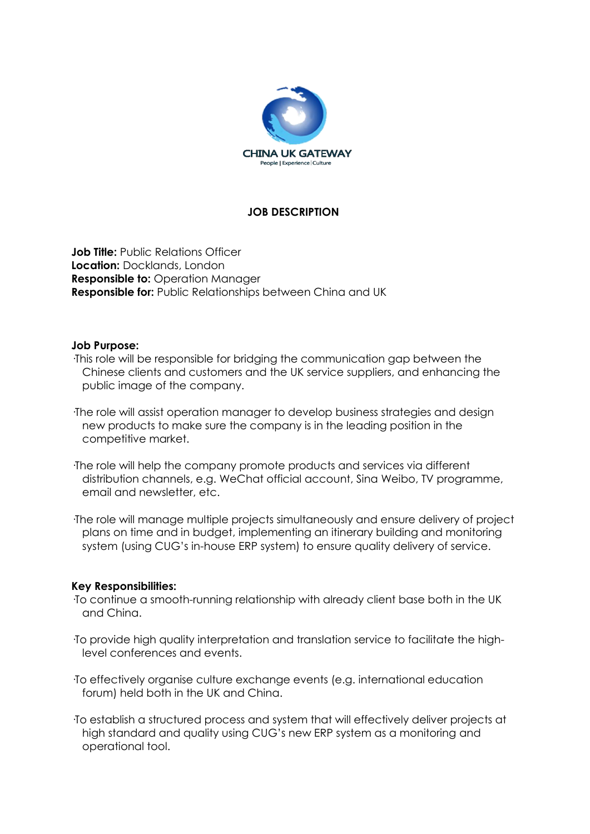

# **JOB DESCRIPTION**

**Job Title: Public Relations Officer Location:** Docklands, London **Responsible to: Operation Manager Responsible for:** Public Relationships between China and UK

#### **Job Purpose:**

·This role will be responsible for bridging the communication gap between the Chinese clients and customers and the UK service suppliers, and enhancing the public image of the company.

·The role will assist operation manager to develop business strategies and design new products to make sure the company is in the leading position in the competitive market.

·The role will help the company promote products and services via different distribution channels, e.g. WeChat official account, Sina Weibo, TV programme, email and newsletter, etc.

·The role will manage multiple projects simultaneously and ensure delivery of project plans on time and in budget, implementing an itinerary building and monitoring system (using CUG's in-house ERP system) to ensure quality delivery of service.

# **Key Responsibilities:**

·To continue a smooth-running relationship with already client base both in the UK and China.

·To provide high quality interpretation and translation service to facilitate the highlevel conferences and events.

·To effectively organise culture exchange events (e.g. international education forum) held both in the UK and China.

·To establish a structured process and system that will effectively deliver projects at high standard and quality using CUG's new ERP system as a monitoring and operational tool.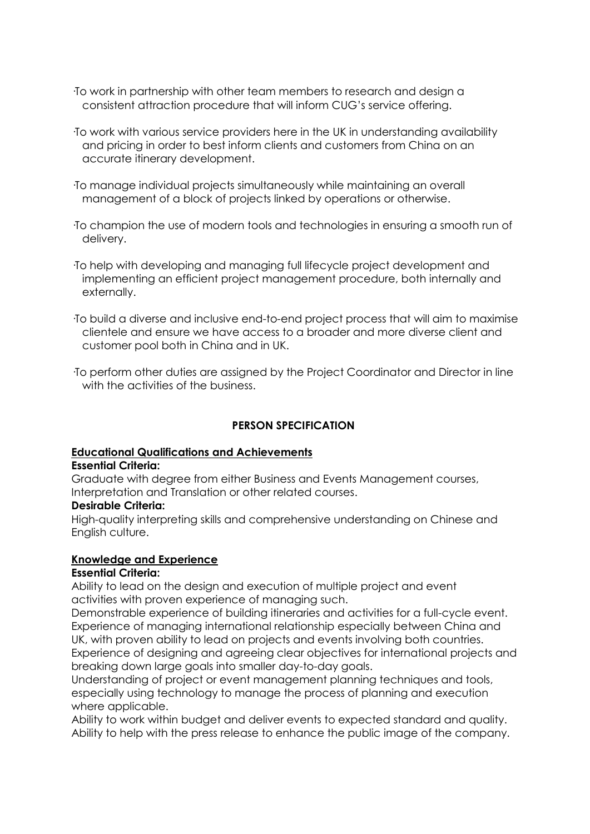- ·To work in partnership with other team members to research and design a consistent attraction procedure that will inform CUG's service offering.
- ·To work with various service providers here in the UK in understanding availability and pricing in order to best inform clients and customers from China on an accurate itinerary development.
- ·To manage individual projects simultaneously while maintaining an overall management of a block of projects linked by operations or otherwise.
- ·To champion the use of modern tools and technologies in ensuring a smooth run of delivery.
- ·To help with developing and managing full lifecycle project development and implementing an efficient project management procedure, both internally and externally.
- ·To build a diverse and inclusive end-to-end project process that will aim to maximise clientele and ensure we have access to a broader and more diverse client and customer pool both in China and in UK.
- ·To perform other duties are assigned by the Project Coordinator and Director in line with the activities of the business.

# **PERSON SPECIFICATION**

# **Educational Qualifications and Achievements**

#### **Essential Criteria:**

Graduate with degree from either Business and Events Management courses, Interpretation and Translation or other related courses.

#### **Desirable Criteria:**

High-quality interpreting skills and comprehensive understanding on Chinese and English culture.

# **Knowledge and Experience**

# **Essential Criteria:**

Ability to lead on the design and execution of multiple project and event activities with proven experience of managing such.

Demonstrable experience of building itineraries and activities for a full-cycle event. Experience of managing international relationship especially between China and UK, with proven ability to lead on projects and events involving both countries. Experience of designing and agreeing clear objectives for international projects and breaking down large goals into smaller day-to-day goals.

Understanding of project or event management planning techniques and tools, especially using technology to manage the process of planning and execution where applicable.

Ability to work within budget and deliver events to expected standard and quality. Ability to help with the press release to enhance the public image of the company.